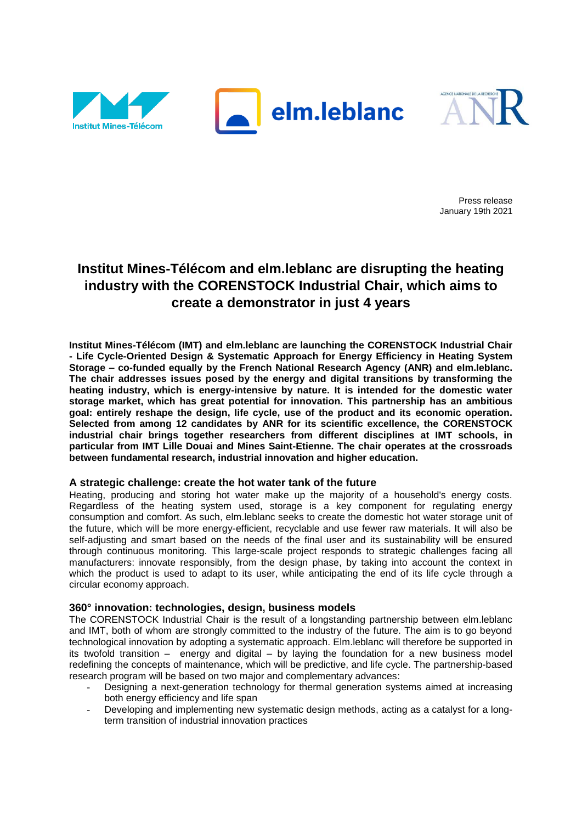



Press release January 19th 2021

# **Institut Mines-Télécom and elm.leblanc are disrupting the heating industry with the CORENSTOCK Industrial Chair, which aims to create a demonstrator in just 4 years**

**Institut Mines-Télécom (IMT) and elm.leblanc are launching the CORENSTOCK Industrial Chair - Life Cycle-Oriented Design & Systematic Approach for Energy Efficiency in Heating System Storage – co-funded equally by the French National Research Agency (ANR) and elm.leblanc. The chair addresses issues posed by the energy and digital transitions by transforming the heating industry, which is energy-intensive by nature. It is intended for the domestic water storage market, which has great potential for innovation. This partnership has an ambitious goal: entirely reshape the design, life cycle, use of the product and its economic operation. Selected from among 12 candidates by ANR for its scientific excellence, the CORENSTOCK industrial chair brings together researchers from different disciplines at IMT schools, in particular from IMT Lille Douai and Mines Saint-Etienne. The chair operates at the crossroads between fundamental research, industrial innovation and higher education.**

# **A strategic challenge: create the hot water tank of the future**

Heating, producing and storing hot water make up the majority of a household's energy costs. Regardless of the heating system used, storage is a key component for regulating energy consumption and comfort. As such, elm.leblanc seeks to create the domestic hot water storage unit of the future, which will be more energy-efficient, recyclable and use fewer raw materials. It will also be self-adjusting and smart based on the needs of the final user and its sustainability will be ensured through continuous monitoring. This large-scale project responds to strategic challenges facing all manufacturers: innovate responsibly, from the design phase, by taking into account the context in which the product is used to adapt to its user, while anticipating the end of its life cycle through a circular economy approach.

# **360° innovation: technologies, design, business models**

The CORENSTOCK Industrial Chair is the result of a longstanding partnership between elm.leblanc and IMT, both of whom are strongly committed to the industry of the future. The aim is to go beyond technological innovation by adopting a systematic approach. Elm.leblanc will therefore be supported in its twofold transition – energy and digital – by laying the foundation for a new business model redefining the concepts of maintenance, which will be predictive, and life cycle. The partnership-based research program will be based on two major and complementary advances:

- Designing a next-generation technology for thermal generation systems aimed at increasing both energy efficiency and life span
- Developing and implementing new systematic design methods, acting as a catalyst for a longterm transition of industrial innovation practices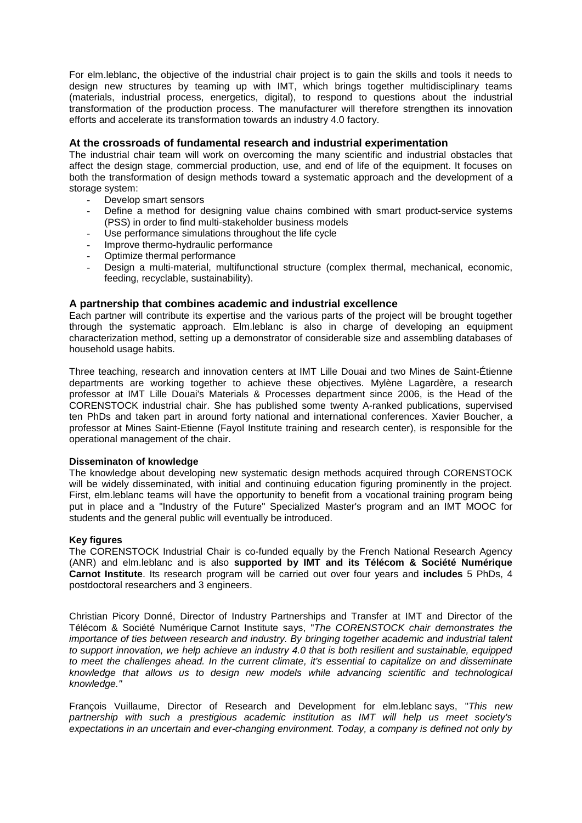For elm.leblanc, the objective of the industrial chair project is to gain the skills and tools it needs to design new structures by teaming up with IMT, which brings together multidisciplinary teams (materials, industrial process, energetics, digital), to respond to questions about the industrial transformation of the production process. The manufacturer will therefore strengthen its innovation efforts and accelerate its transformation towards an industry 4.0 factory.

# **At the crossroads of fundamental research and industrial experimentation**

The industrial chair team will work on overcoming the many scientific and industrial obstacles that affect the design stage, commercial production, use, and end of life of the equipment. It focuses on both the transformation of design methods toward a systematic approach and the development of a storage system:

- Develop smart sensors
- Define a method for designing value chains combined with smart product-service systems (PSS) in order to find multi-stakeholder business models
- Use performance simulations throughout the life cycle
- Improve thermo-hydraulic performance
- Optimize thermal performance
- Design a multi-material, multifunctional structure (complex thermal, mechanical, economic, feeding, recyclable, sustainability).

## **A partnership that combines academic and industrial excellence**

Each partner will contribute its expertise and the various parts of the project will be brought together through the systematic approach. Elm.leblanc is also in charge of developing an equipment characterization method, setting up a demonstrator of considerable size and assembling databases of household usage habits.

Three teaching, research and innovation centers at IMT Lille Douai and two Mines de Saint-Étienne departments are working together to achieve these objectives. Mylène Lagardère, a research professor at IMT Lille Douai's Materials & Processes department since 2006, is the Head of the CORENSTOCK industrial chair. She has published some twenty A-ranked publications, supervised ten PhDs and taken part in around forty national and international conferences. Xavier Boucher, a professor at Mines Saint-Etienne (Fayol Institute training and research center), is responsible for the operational management of the chair.

### **Disseminaton of knowledge**

The knowledge about developing new systematic design methods acquired through CORENSTOCK will be widely disseminated, with initial and continuing education figuring prominently in the project. First, elm.leblanc teams will have the opportunity to benefit from a vocational training program being put in place and a "Industry of the Future" Specialized Master's program and an IMT MOOC for students and the general public will eventually be introduced.

### **Key figures**

The CORENSTOCK Industrial Chair is co-funded equally by the French National Research Agency (ANR) and elm.leblanc and is also **supported by IMT and its Télécom & Société Numérique Carnot Institute**. Its research program will be carried out over four years and **includes** 5 PhDs, 4 postdoctoral researchers and 3 engineers.

Christian Picory Donné, Director of Industry Partnerships and Transfer at IMT and Director of the Télécom & Société Numérique Carnot Institute says, "*The CORENSTOCK chair demonstrates the importance of ties between research and industry. By bringing together academic and industrial talent to support innovation, we help achieve an industry 4.0 that is both resilient and sustainable, equipped to meet the challenges ahead. In the current climate, it's essential to capitalize on and disseminate knowledge that allows us to design new models while advancing scientific and technological knowledge."*

François Vuillaume, Director of Research and Development for elm.leblanc says, "*This new partnership with such a prestigious academic institution as IMT will help us meet society's expectations in an uncertain and ever-changing environment. Today, a company is defined not only by*